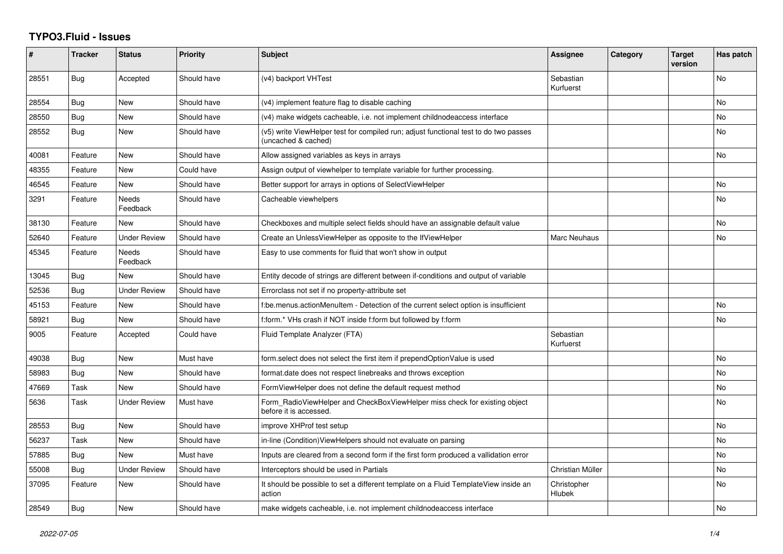## **TYPO3.Fluid - Issues**

| #     | <b>Tracker</b> | <b>Status</b>       | <b>Priority</b> | <b>Subject</b>                                                                                              | Assignee               | Category | <b>Target</b><br>version | Has patch |
|-------|----------------|---------------------|-----------------|-------------------------------------------------------------------------------------------------------------|------------------------|----------|--------------------------|-----------|
| 28551 | Bug            | Accepted            | Should have     | (v4) backport VHTest                                                                                        | Sebastian<br>Kurfuerst |          |                          | No        |
| 28554 | <b>Bug</b>     | New                 | Should have     | (v4) implement feature flag to disable caching                                                              |                        |          |                          | <b>No</b> |
| 28550 | Bug            | New                 | Should have     | (v4) make widgets cacheable, i.e. not implement childnodeaccess interface                                   |                        |          |                          | <b>No</b> |
| 28552 | Bug            | New                 | Should have     | (v5) write ViewHelper test for compiled run; adjust functional test to do two passes<br>(uncached & cached) |                        |          |                          | No        |
| 40081 | Feature        | New                 | Should have     | Allow assigned variables as keys in arrays                                                                  |                        |          |                          | <b>No</b> |
| 48355 | Feature        | New                 | Could have      | Assign output of viewhelper to template variable for further processing.                                    |                        |          |                          |           |
| 46545 | Feature        | New                 | Should have     | Better support for arrays in options of SelectViewHelper                                                    |                        |          |                          | No        |
| 3291  | Feature        | Needs<br>Feedback   | Should have     | Cacheable viewhelpers                                                                                       |                        |          |                          | <b>No</b> |
| 38130 | Feature        | New                 | Should have     | Checkboxes and multiple select fields should have an assignable default value                               |                        |          |                          | <b>No</b> |
| 52640 | Feature        | <b>Under Review</b> | Should have     | Create an UnlessViewHelper as opposite to the IfViewHelper                                                  | Marc Neuhaus           |          |                          | No        |
| 45345 | Feature        | Needs<br>Feedback   | Should have     | Easy to use comments for fluid that won't show in output                                                    |                        |          |                          |           |
| 13045 | Bug            | New                 | Should have     | Entity decode of strings are different between if-conditions and output of variable                         |                        |          |                          |           |
| 52536 | Bug            | <b>Under Review</b> | Should have     | Errorclass not set if no property-attribute set                                                             |                        |          |                          |           |
| 45153 | Feature        | New                 | Should have     | f:be.menus.actionMenuItem - Detection of the current select option is insufficient                          |                        |          |                          | <b>No</b> |
| 58921 | <b>Bug</b>     | <b>New</b>          | Should have     | f:form.* VHs crash if NOT inside f:form but followed by f:form                                              |                        |          |                          | <b>No</b> |
| 9005  | Feature        | Accepted            | Could have      | Fluid Template Analyzer (FTA)                                                                               | Sebastian<br>Kurfuerst |          |                          |           |
| 49038 | Bug            | New                 | Must have       | form.select does not select the first item if prependOptionValue is used                                    |                        |          |                          | <b>No</b> |
| 58983 | Bug            | New                 | Should have     | format.date does not respect linebreaks and throws exception                                                |                        |          |                          | <b>No</b> |
| 47669 | Task           | New                 | Should have     | FormViewHelper does not define the default request method                                                   |                        |          |                          | No        |
| 5636  | Task           | Under Review        | Must have       | Form_RadioViewHelper and CheckBoxViewHelper miss check for existing object<br>before it is accessed.        |                        |          |                          | <b>No</b> |
| 28553 | <b>Bug</b>     | <b>New</b>          | Should have     | improve XHProf test setup                                                                                   |                        |          |                          | <b>No</b> |
| 56237 | Task           | <b>New</b>          | Should have     | in-line (Condition) View Helpers should not evaluate on parsing                                             |                        |          |                          | No        |
| 57885 | <b>Bug</b>     | New                 | Must have       | Inputs are cleared from a second form if the first form produced a vallidation error                        |                        |          |                          | <b>No</b> |
| 55008 | Bug            | Under Review        | Should have     | Interceptors should be used in Partials                                                                     | Christian Müller       |          |                          | No        |
| 37095 | Feature        | <b>New</b>          | Should have     | It should be possible to set a different template on a Fluid TemplateView inside an<br>action               | Christopher<br>Hlubek  |          |                          | <b>No</b> |
| 28549 | Bug            | New                 | Should have     | make widgets cacheable, i.e. not implement childnodeaccess interface                                        |                        |          |                          | No        |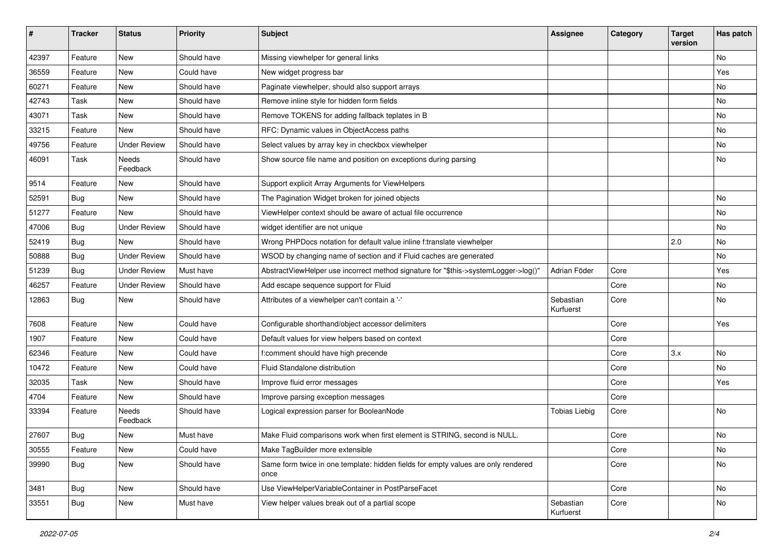| #     | <b>Tracker</b> | <b>Status</b>       | <b>Priority</b> | <b>Subject</b>                                                                            | <b>Assignee</b>        | Category | <b>Target</b><br>version | Has patch |
|-------|----------------|---------------------|-----------------|-------------------------------------------------------------------------------------------|------------------------|----------|--------------------------|-----------|
| 42397 | Feature        | New                 | Should have     | Missing viewhelper for general links                                                      |                        |          |                          | <b>No</b> |
| 36559 | Feature        | New                 | Could have      | New widget progress bar                                                                   |                        |          |                          | Yes       |
| 60271 | Feature        | New                 | Should have     | Paginate viewhelper, should also support arrays                                           |                        |          |                          | No        |
| 42743 | Task           | New                 | Should have     | Remove inline style for hidden form fields                                                |                        |          |                          | No        |
| 43071 | Task           | New                 | Should have     | Remove TOKENS for adding fallback teplates in B                                           |                        |          |                          | No        |
| 33215 | Feature        | New                 | Should have     | RFC: Dynamic values in ObjectAccess paths                                                 |                        |          |                          | No        |
| 49756 | Feature        | <b>Under Review</b> | Should have     | Select values by array key in checkbox viewhelper                                         |                        |          |                          | No        |
| 46091 | Task           | Needs<br>Feedback   | Should have     | Show source file name and position on exceptions during parsing                           |                        |          |                          | No        |
| 9514  | Feature        | New                 | Should have     | Support explicit Array Arguments for ViewHelpers                                          |                        |          |                          |           |
| 52591 | Bug            | New                 | Should have     | The Pagination Widget broken for joined objects                                           |                        |          |                          | No        |
| 51277 | Feature        | New                 | Should have     | ViewHelper context should be aware of actual file occurrence                              |                        |          |                          | No        |
| 47006 | Bug            | <b>Under Review</b> | Should have     | widget identifier are not unique                                                          |                        |          |                          | No        |
| 52419 | Bug            | New                 | Should have     | Wrong PHPDocs notation for default value inline f:translate viewhelper                    |                        |          | 2.0                      | No        |
| 50888 | Bug            | <b>Under Review</b> | Should have     | WSOD by changing name of section and if Fluid caches are generated                        |                        |          |                          | No        |
| 51239 | Bug            | <b>Under Review</b> | Must have       | AbstractViewHelper use incorrect method signature for "\$this->systemLogger->log()"       | Adrian Föder           | Core     |                          | Yes       |
| 46257 | Feature        | <b>Under Review</b> | Should have     | Add escape sequence support for Fluid                                                     |                        | Core     |                          | No        |
| 12863 | Bug            | New                 | Should have     | Attributes of a viewhelper can't contain a '-'                                            | Sebastian<br>Kurfuerst | Core     |                          | No        |
| 7608  | Feature        | New                 | Could have      | Configurable shorthand/object accessor delimiters                                         |                        | Core     |                          | Yes       |
| 1907  | Feature        | New                 | Could have      | Default values for view helpers based on context                                          |                        | Core     |                          |           |
| 62346 | Feature        | New                 | Could have      | f:comment should have high precende                                                       |                        | Core     | 3.x                      | No        |
| 10472 | Feature        | New                 | Could have      | Fluid Standalone distribution                                                             |                        | Core     |                          | No        |
| 32035 | Task           | New                 | Should have     | Improve fluid error messages                                                              |                        | Core     |                          | Yes       |
| 4704  | Feature        | New                 | Should have     | Improve parsing exception messages                                                        |                        | Core     |                          |           |
| 33394 | Feature        | Needs<br>Feedback   | Should have     | Logical expression parser for BooleanNode                                                 | <b>Tobias Liebig</b>   | Core     |                          | <b>No</b> |
| 27607 | Bug            | New                 | Must have       | Make Fluid comparisons work when first element is STRING, second is NULL.                 |                        | Core     |                          | No        |
| 30555 | Feature        | New                 | Could have      | Make TagBuilder more extensible                                                           |                        | Core     |                          | No        |
| 39990 | <b>Bug</b>     | New                 | Should have     | Same form twice in one template: hidden fields for empty values are only rendered<br>once |                        | Core     |                          | No        |
| 3481  | <b>Bug</b>     | New                 | Should have     | Use ViewHelperVariableContainer in PostParseFacet                                         |                        | Core     |                          | No        |
| 33551 | <b>Bug</b>     | New                 | Must have       | View helper values break out of a partial scope                                           | Sebastian<br>Kurfuerst | Core     |                          | No        |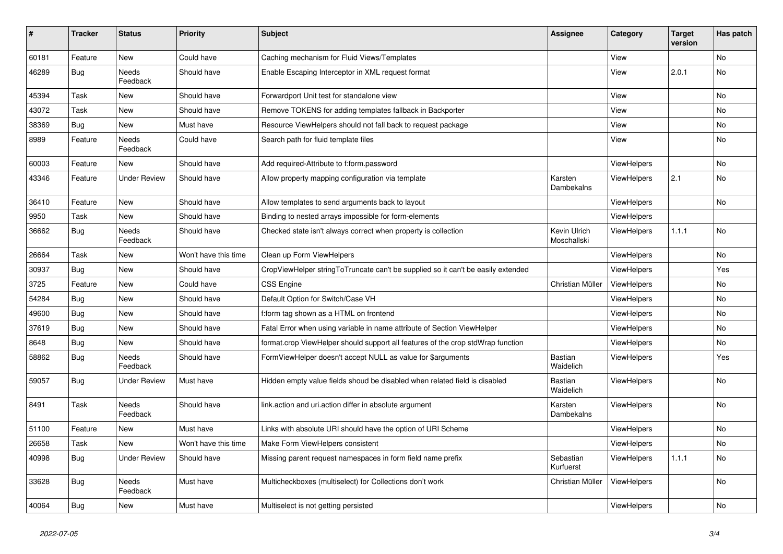| #     | <b>Tracker</b> | <b>Status</b>            | <b>Priority</b>      | <b>Subject</b>                                                                   | Assignee                    | Category           | <b>Target</b><br>version | Has patch |
|-------|----------------|--------------------------|----------------------|----------------------------------------------------------------------------------|-----------------------------|--------------------|--------------------------|-----------|
| 60181 | Feature        | <b>New</b>               | Could have           | Caching mechanism for Fluid Views/Templates                                      |                             | View               |                          | <b>No</b> |
| 46289 | Bug            | Needs<br>Feedback        | Should have          | Enable Escaping Interceptor in XML request format                                |                             | View               | 2.0.1                    | No        |
| 45394 | Task           | <b>New</b>               | Should have          | Forwardport Unit test for standalone view                                        |                             | View               |                          | <b>No</b> |
| 43072 | Task           | <b>New</b>               | Should have          | Remove TOKENS for adding templates fallback in Backporter                        |                             | View               |                          | No.       |
| 38369 | <b>Bug</b>     | New                      | Must have            | Resource ViewHelpers should not fall back to request package                     |                             | View               |                          | No        |
| 8989  | Feature        | Needs<br>Feedback        | Could have           | Search path for fluid template files                                             |                             | View               |                          | No        |
| 60003 | Feature        | New                      | Should have          | Add required-Attribute to f:form.password                                        |                             | <b>ViewHelpers</b> |                          | No        |
| 43346 | Feature        | <b>Under Review</b>      | Should have          | Allow property mapping configuration via template                                | Karsten<br>Dambekalns       | ViewHelpers        | 2.1                      | No        |
| 36410 | Feature        | New                      | Should have          | Allow templates to send arguments back to layout                                 |                             | ViewHelpers        |                          | No        |
| 9950  | Task           | <b>New</b>               | Should have          | Binding to nested arrays impossible for form-elements                            |                             | ViewHelpers        |                          |           |
| 36662 | <b>Bug</b>     | <b>Needs</b><br>Feedback | Should have          | Checked state isn't always correct when property is collection                   | Kevin Ulrich<br>Moschallski | <b>ViewHelpers</b> | 1.1.1                    | No        |
| 26664 | Task           | New                      | Won't have this time | Clean up Form ViewHelpers                                                        |                             | <b>ViewHelpers</b> |                          | No        |
| 30937 | Bug            | New                      | Should have          | CropViewHelper stringToTruncate can't be supplied so it can't be easily extended |                             | ViewHelpers        |                          | Yes       |
| 3725  | Feature        | New                      | Could have           | <b>CSS Engine</b>                                                                | Christian Müller            | ViewHelpers        |                          | No        |
| 54284 | <b>Bug</b>     | New                      | Should have          | Default Option for Switch/Case VH                                                |                             | ViewHelpers        |                          | No        |
| 49600 | Bug            | New                      | Should have          | f:form tag shown as a HTML on frontend                                           |                             | <b>ViewHelpers</b> |                          | No        |
| 37619 | <b>Bug</b>     | New                      | Should have          | Fatal Error when using variable in name attribute of Section ViewHelper          |                             | ViewHelpers        |                          | No        |
| 8648  | Bug            | New                      | Should have          | format.crop ViewHelper should support all features of the crop stdWrap function  |                             | <b>ViewHelpers</b> |                          | No        |
| 58862 | Bug            | Needs<br>Feedback        | Should have          | FormViewHelper doesn't accept NULL as value for \$arguments                      | <b>Bastian</b><br>Waidelich | ViewHelpers        |                          | Yes       |
| 59057 | Bug            | <b>Under Review</b>      | Must have            | Hidden empty value fields shoud be disabled when related field is disabled       | Bastian<br>Waidelich        | <b>ViewHelpers</b> |                          | No        |
| 8491  | Task           | <b>Needs</b><br>Feedback | Should have          | link.action and uri.action differ in absolute argument                           | Karsten<br>Dambekalns       | <b>ViewHelpers</b> |                          | <b>No</b> |
| 51100 | Feature        | New                      | Must have            | Links with absolute URI should have the option of URI Scheme                     |                             | ViewHelpers        |                          | No        |
| 26658 | Task           | New                      | Won't have this time | Make Form ViewHelpers consistent                                                 |                             | <b>ViewHelpers</b> |                          | No        |
| 40998 | Bug            | <b>Under Review</b>      | Should have          | Missing parent request namespaces in form field name prefix                      | Sebastian<br>Kurfuerst      | ViewHelpers        | 1.1.1                    | No        |
| 33628 | Bug            | <b>Needs</b><br>Feedback | Must have            | Multicheckboxes (multiselect) for Collections don't work                         | Christian Müller            | ViewHelpers        |                          | No        |
| 40064 | Bug            | <b>New</b>               | Must have            | Multiselect is not getting persisted                                             |                             | <b>ViewHelpers</b> |                          | No        |